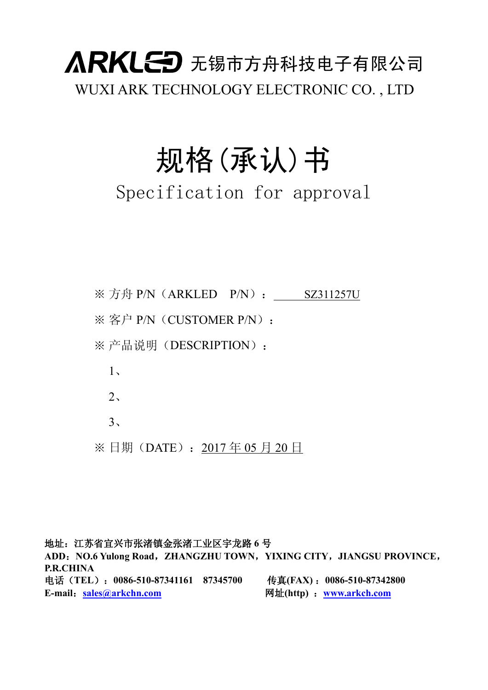## 人RKLED 无锡市方舟科技电子有限公司 WUXI ARK TECHNOLOGY ELECTRONIC CO. , LTD

# 规格(承认)书

### Specification for approval

※ 方舟 P/N(ARKLED P/N): SZ311257U ※ 客户 P/N (CUSTOMER P/N): ※ 产品说明(DESCRIPTION): 1、  $2<sub>1</sub>$  $3<sub>1</sub>$ 

※ 日期(DATE):2017 年 05 月 20 日

地址:江苏省宜兴市张渚镇金张渚工业区宇龙路 **6** 号 **ADD**:**NO.6 Yulong Road**,**ZHANGZHU TOWN**,**YIXING CITY**,**JIANGSU PROVINCE**, **P.R.CHINA** 电话(**TEL**):**0086-510-87341161 87345700** 传真**(FAX)** :**0086-510-87342800 E-mail**:**[sales@arkchn.com](mailto:zhuzp@arkch.com)** 网址**(http)** :**[www.arkch.com](http://www.arkch.com)**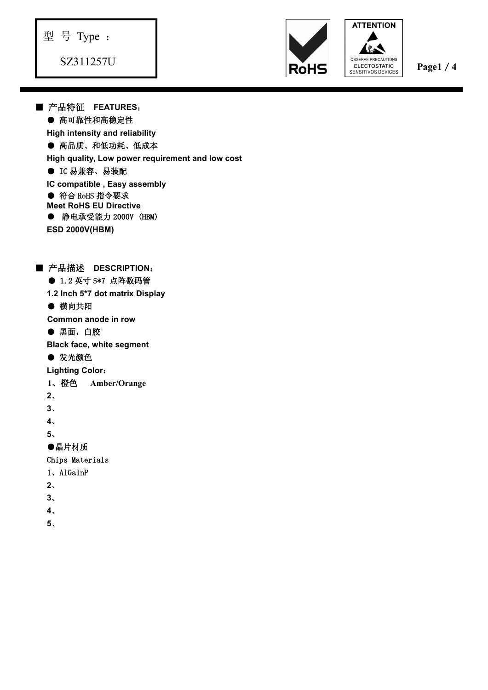

**ATTENTION** 

■ 产品特征 **FEATURES**: ● 高可靠性和高稳定性 **High intensity and reliability** ● 高品质、和低功耗、低成本 **High quality, Low power requirement and low cost** ● IC 易兼容、易装配 **IC compatible , Easy assembly ● 符合 RoHS 指令要求 Meet RoHS EU Directive ● 静电承受能力 2000V (HBM) ESD 2000V(HBM)** ■ 产品描述 **DESCRIPTION**: ● 1.2 英寸 5\*7 点阵数码管 **1.2 Inch 5\*7 dot matrix Display** ● 横向共阳 **Common anode in row** ● 黑面,白胶 **Black face, white segment** ● 发光颜色 **Lighting Color**: **1**、橙色 **Amber/Orange 2**、**3**、**4**、**<sup>5</sup>**、●晶片材质 Chips Materials 1、AlGaInP **2**、**3**、**4**、5<br> **5** Type :<br> **5** Type :<br> **FAINTE FEATURES.<br>
<del>FAIN</del> INTERFERIENCES:**<br>
● 高品系 - RESPECTIBLY LOW power requirement and low cost<br> **FIID interactions and relativity**<br> **Page1**/**4**<br> **Distributions in the case assembly<br>
C Const**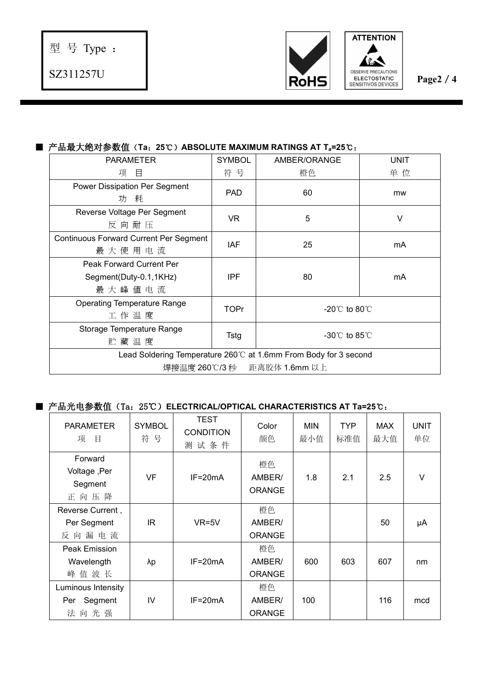



#### ■ 产品最大绝对参数值(**Ta**:**25**℃)**ABSOLUTE MAXIMUM RATINGS AT Ta=25**℃:

| <b>PARAMETER</b>                                                                               | <b>SYMBOL</b> | AMBER/ORANGE                       | <b>UNIT</b> |  |  |  |  |
|------------------------------------------------------------------------------------------------|---------------|------------------------------------|-------------|--|--|--|--|
| 项目                                                                                             | 符号            | 橙色                                 | 单位          |  |  |  |  |
| Power Dissipation Per Segment<br>功 耗                                                           | PAD           | 60                                 | mw          |  |  |  |  |
| Reverse Voltage Per Segment<br>反向耐压                                                            | <b>VR</b>     | 5                                  | V           |  |  |  |  |
| <b>Continuous Forward Current Per Segment</b><br>最大使用电流                                        | <b>IAF</b>    | 25                                 | mA          |  |  |  |  |
| Peak Forward Current Per<br>Segment(Duty-0.1,1KHz)<br>最大峰值电流                                   | <b>IPF</b>    | 80                                 | mA          |  |  |  |  |
| <b>Operating Temperature Range</b><br>工作温度                                                     | <b>TOPr</b>   | $-20^{\circ}$ to 80 $^{\circ}$     |             |  |  |  |  |
| Storage Temperature Range<br>贮藏温度                                                              | Tstg          | $-30^{\circ}$ C to 85 $^{\circ}$ C |             |  |  |  |  |
| Lead Soldering Temperature 260℃ at 1.6mm From Body for 3 second<br>焊接温度 260℃/3 秒 距离胶体 1.6mm 以上 |               |                                    |             |  |  |  |  |

#### ■ 产品光电参数值(Ta:25℃)**ELECTRICAL/OPTICAL CHARACTERISTICS AT Ta=25**℃:

| <b>PARAMETER</b><br>项<br>目                 | <b>SYMBOL</b><br>符号 | <b>TEST</b><br><b>CONDITION</b><br>测试条件 | Color<br>颜色                   | <b>MIN</b><br>最小值 | <b>TYP</b><br>标准值 | <b>MAX</b><br>最大值 | <b>UNIT</b><br>单位 |  |
|--------------------------------------------|---------------------|-----------------------------------------|-------------------------------|-------------------|-------------------|-------------------|-------------------|--|
| Forward<br>Voltage, Per<br>Segment<br>正向压降 | <b>VF</b>           | $IF=20mA$                               | 橙色<br>AMBER/<br><b>ORANGE</b> | 1.8               | 2.1               | 2.5               | V                 |  |
| Reverse Current,                           |                     |                                         | 橙色                            |                   |                   |                   |                   |  |
| Per Segment                                | IR                  | $VR=5V$                                 | AMBER/                        |                   |                   | 50                | μA                |  |
| 反向漏电流                                      |                     |                                         | <b>ORANGE</b>                 |                   |                   |                   |                   |  |
| Peak Emission                              |                     |                                         | 橙色                            |                   |                   |                   |                   |  |
| Wavelength                                 | λp                  | IF=20mA                                 | AMBER/                        | 600               | 603               | 607               | nm                |  |
| 峰值波长                                       |                     |                                         | <b>ORANGE</b>                 |                   |                   |                   |                   |  |
| Luminous Intensity                         |                     |                                         | 橙色                            |                   |                   |                   |                   |  |
| Segment<br>Per                             | IV                  | $IF=20mA$                               | AMBER/                        | 100               |                   | 116               | mcd               |  |
| 法向光强                                       |                     |                                         | <b>ORANGE</b>                 |                   |                   |                   |                   |  |